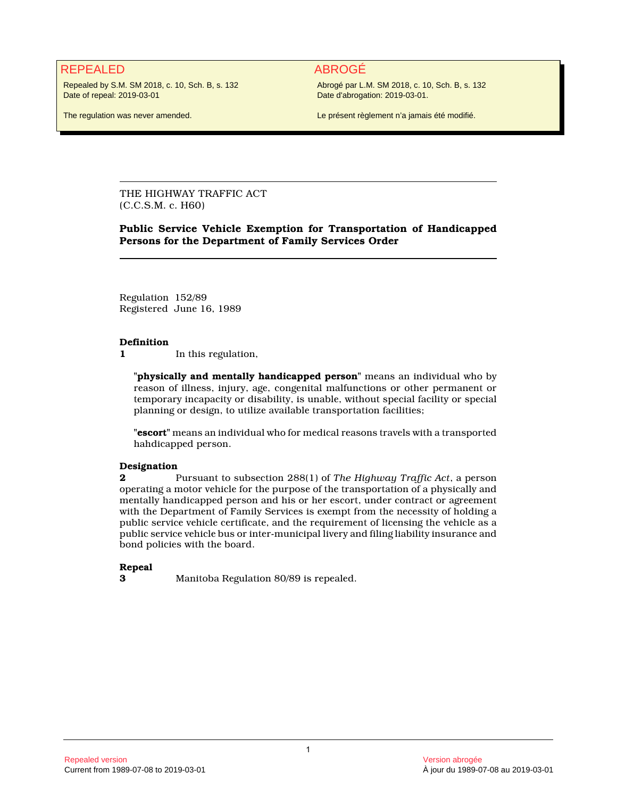## REPEALED ABROGÉ

Repealed by S.M. SM 2018, c. 10, Sch. B, s. 132 Date of repeal: 2019-03-01

Abrogé par L.M. SM 2018, c. 10, Sch. B, s. 132 Date d'abrogation: 2019-03-01.

The regulation was never amended.

Le présent règlement n'a jamais été modifié.

THE HIGHWAY TRAFFIC ACT (C.C.S.M. c. H60)

**Public Service Vehicle Exemption for Transportation of Handicapped Persons for the Department of Family Services Order**

Regulation 152/89 Registered June 16, 1989

#### **Definition**

**1** In this regulation,

**"physically and mentally handicapped person"** means an individual who by reason of illness, injury, age, congenital malfunctions or other permanent or temporary incapacity or disability, is unable, without special facility or special planning or design, to utilize available transportation facilities;

**"escort"** means an individual who for medical reasons travels with a transported hahdicapped person.

# **Designation**<br>2

**2** Pursuant to subsection 288(1) of *The Highway Traffic Act*, a person operating a motor vehicle for the purpose of the transportation of a physically and mentally handicapped person and his or her escort, under contract or agreement with the Department of Family Services is exempt from the necessity of holding a public service vehicle certificate, and the requirement of licensing the vehicle as a public service vehicle bus or inter-municipal livery and filing liability insurance and bond policies with the board.

#### **Repeal**

**3** Manitoba Regulation 80/89 is repealed.